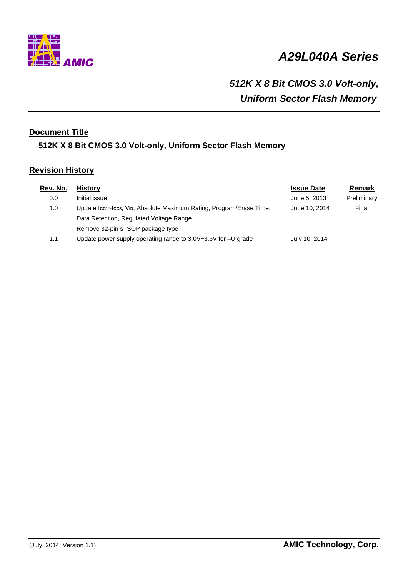

# *A29L040A Series*

# *512K X 8 Bit CMOS 3.0 Volt-only, Uniform Sector Flash Memory*

# **Document Title**

# **512K X 8 Bit CMOS 3.0 Volt-only, Uniform Sector Flash Memory**

# **Revision History**

| Rev. No. | <b>History</b>                                                      | <b>Issue Date</b> | Remark      |
|----------|---------------------------------------------------------------------|-------------------|-------------|
| 0.0      | Initial issue                                                       | June 5, 2013      | Preliminary |
| 1.0      | Update Icc1~Icc5, Vip, Absolute Maximum Rating, Program/Erase Time, | June 10, 2014     | Final       |
|          | Data Retention, Regulated Voltage Range                             |                   |             |
|          | Remove 32-pin sTSOP package type                                    |                   |             |
| 1.1      | Update power supply operating range to $3.0V - 3.6V$ for $-U$ grade | July 10, 2014     |             |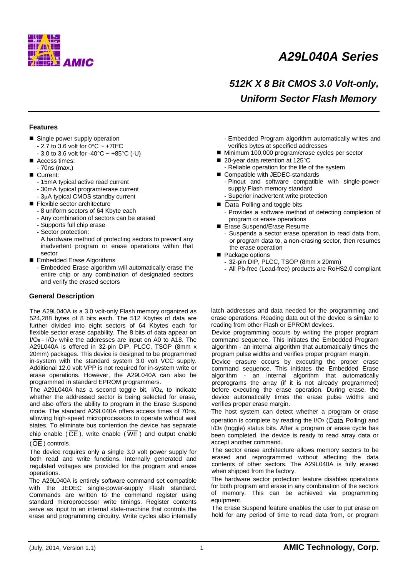

# *A29L040A Series*

# *512K X 8 Bit CMOS 3.0 Volt-only, Uniform Sector Flash Memory*

#### **Features**

- Single power supply operation
	- 2.7 to 3.6 volt for  $0^{\circ}$ C ~ +70 $^{\circ}$ C
	- $-3.0$  to 3.6 volt for  $-40^{\circ}$ C  $\sim +85^{\circ}$ C (-U)
- Access times:
- 70ns (max.)
- Current:
	- 15mA typical active read current
	- 30mA typical program/erase current
	- 3μA typical CMOS standby current
- Flexible sector architecture
	- 8 uniform sectors of 64 Kbyte each
	- Any combination of sectors can be erased
	- Supports full chip erase
	- Sector protection:

A hardware method of protecting sectors to prevent any inadvertent program or erase operations within that sector

- Embedded Erase Algorithms
	- Embedded Erase algorithm will automatically erase the entire chip or any combination of designated sectors and verify the erased sectors

## **General Description**

The A29L040A is a 3.0 volt-only Flash memory organized as 524,288 bytes of 8 bits each. The 512 Kbytes of data are further divided into eight sectors of 64 Kbytes each for flexible sector erase capability. The 8 bits of data appear on I/O**0** - I/O**7** while the addresses are input on A0 to A18. The A29L040A is offered in 32-pin DIP, PLCC, TSOP (8mm x 20mm) packages. This device is designed to be programmed in-system with the standard system 3.0 volt VCC supply. Additional 12.0 volt VPP is not required for in-system write or erase operations. However, the A29L040A can also be programmed in standard EPROM programmers.

The A29L040A has a second toggle bit, I/O**2**, to indicate whether the addressed sector is being selected for erase, and also offers the ability to program in the Erase Suspend mode. The standard A29L040A offers access times of 70ns, allowing high-speed microprocessors to operate without wait states. To eliminate bus contention the device has separate chip enable ( $\overline{CE}$ ), write enable ( $\overline{WE}$ ) and output enable

#### (OE ) controls.

The device requires only a single 3.0 volt power supply for both read and write functions. Internally generated and regulated voltages are provided for the program and erase operations.

The A29L040A is entirely software command set compatible with the JEDEC single-power-supply Flash standard. Commands are written to the command register using standard microprocessor write timings. Register contents serve as input to an internal state-machine that controls the erase and programming circuitry. Write cycles also internally

- Embedded Program algorithm automatically writes and verifies bytes at specified addresses
- Minimum 100,000 program/erase cycles per sector
- 20-year data retention at 125°C
	- Reliable operation for the life of the system
- Compatible with JEDEC-standards
	- Pinout and software compatible with single-powersupply Flash memory standard
	- Superior inadvertent write protection
- Data Polling and toggle bits - Provides a software method of detecting completion of program or erase operations
- Erase Suspend/Erase Resume
	- Suspends a sector erase operation to read data from, or program data to, a non-erasing sector, then resumes the erase operation
- Package options
	- 32-pin DIP, PLCC, TSOP (8mm x 20mm)
	- All Pb-free (Lead-free) products are RoHS2.0 compliant

latch addresses and data needed for the programming and erase operations. Reading data out of the device is similar to reading from other Flash or EPROM devices.

Device programming occurs by writing the proper program command sequence. This initiates the Embedded Program algorithm - an internal algorithm that automatically times the program pulse widths and verifies proper program margin.

Device erasure occurs by executing the proper erase command sequence. This initiates the Embedded Erase algorithm - an internal algorithm that automatically preprograms the array (if it is not already programmed) before executing the erase operation. During erase, the device automatically times the erase pulse widths and verifies proper erase margin.

The host system can detect whether a program or erase operation is complete by reading the I/O**7** (Data Polling) and I/O**6** (toggle) status bits. After a program or erase cycle has been completed, the device is ready to read array data or accept another command.

The sector erase architecture allows memory sectors to be erased and reprogrammed without affecting the data contents of other sectors. The A29L040A is fully erased when shipped from the factory.

The hardware sector protection feature disables operations for both program and erase in any combination of the sectors of memory. This can be achieved via programming equipment.

The Erase Suspend feature enables the user to put erase on hold for any period of time to read data from, or program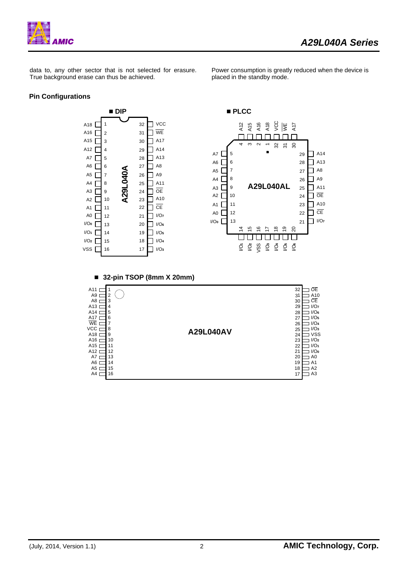

Power consumption is greatly reduced when the device is

placed in the standby mode.

data to, any other sector that is not selected for erasure. True background erase can thus be achieved.

## **Pin Configurations**

 **DIP PLCC**   $\Box$  vcc A<sub>18</sub> [ 1 32 A16 A18 g<br>및 보 호 A12 A15 A<sub>16</sub> $\Gamma$ 2 31 WE ┍ ┍ ПГ A15 $\Gamma$  $\neg$  A17 3 30  $\sigma$  $\sim$ 32 31 30 4 $\overline{\phantom{0}}$ A<sub>12</sub> $\Gamma$ 4 29  $\bigcap$  A<sub>14</sub> 5 A7 [ 29  $7A14$ 28  $\Box$  A13 A7 5 ſ 6 28  $\Box$  A13  $AG$ A6  $\Gamma$ 6 27  $\Box$  A8 **A29L040A A29L040A** 7  $\Box$  A8 A5  $\Box$ 27 A5 $\Box$ 7 26  $\Box$  A9  $A4$ 8  $\sqsupset$  A9 26  $A4$ 8  $\Box$  A11 25 **A29L040AL** 9  $\Box$  A11 A3 $\square$ 25  $\overline{\mathsf{D}}$  oe  $A3$ 9 24  $\Box$   $\overline{OE}$  $A2$ 10 24 A2  $\Gamma$ 10 23  $\bigcap$  A10  $\Box$  A10 11 23 A1 $\square$ 11 22  $\neg$  CE A1 Г 12  $\Box$  CE  $AO$ 22 I/O**<sup>7</sup>** A0 Г 12 21 I/O**<sup>0</sup>** 21 13 I/O**<sup>7</sup>** I/O**<sup>0</sup>** 20 I/O**<sup>6</sup>** 13  $\overline{4}$ 19 <u>ର</u> 15 16 17 18 I/O**<sup>1</sup>** 14 19 I/O**<sup>5</sup>** 0000000 I/O**<sup>4</sup>** I/O**<sup>2</sup>** 18  $\Gamma$ 15  $\bar{\varphi}$   $\bar{\varphi}$   $\bar{\varphi}$   $\bar{\varphi}$   $\bar{\varphi}$   $\bar{\varphi}$   $\bar{\varphi}$  $VSS$  16 17 1/O<sub>3</sub> 16 **32-pin TSOP (8mm X 20mm)**  32  $A11 \Box 1$   $\bigcirc$ 1  $A9 \Box$ 2 31 A10  $A8 \equiv$ 3 30 CE A13 $\square$ 4 I/O**<sup>7</sup>** 29 A14 $\square$ 5 I/O**<sup>6</sup>** 28 6 27 I/O**<sup>5</sup>** A17 I/O**<sup>4</sup>** 7 WE 26  $VCC \sqsubset$ I/O**<sup>3</sup>** 8 **A29L040AV** 25  $A18 \square$ 9 24 VSS  $\vert$  10  $\frac{27}{23}$ A16 I/O**<sup>2</sup>** 11  $\frac{1}{22}$  $\equiv$ I/O<sub>1</sub> A15 12  $\overline{21}$ I/O**<sup>0</sup>** A12  $A7 \Box$ 13 20 A0 A6 $\sqsubset$ 14 19 A1 A5 $\Box$ 15 18 A2 A4 $\sqsubset$ 16  $17$   $\Box$  A3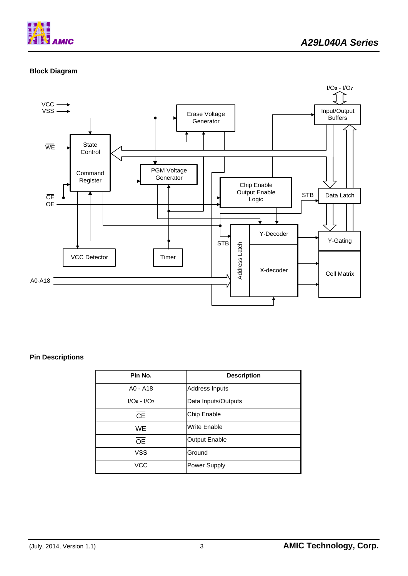

# **Block Diagram**



# **Pin Descriptions**

| Pin No.         | <b>Description</b>   |
|-----------------|----------------------|
| $AO - A18$      | Address Inputs       |
| $I/O0 - I/O7$   | Data Inputs/Outputs  |
| <b>CE</b>       | Chip Enable          |
| <b>WE</b>       | <b>Write Enable</b>  |
| $\overline{OE}$ | <b>Output Enable</b> |
| <b>VSS</b>      | Ground               |
| VCC             | Power Supply         |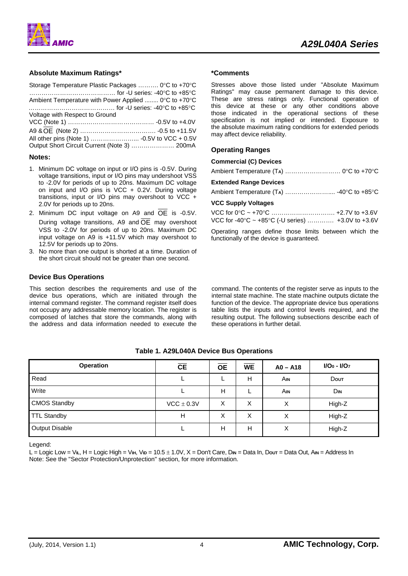

### **Absolute Maximum Ratings\***

| Storage Temperature Plastic Packages  0°C to +70°C   |  |
|------------------------------------------------------|--|
|                                                      |  |
| Ambient Temperature with Power Applied  0°C to +70°C |  |
|                                                      |  |
| Voltage with Respect to Ground                       |  |
|                                                      |  |
|                                                      |  |
|                                                      |  |
| Output Short Circuit Current (Note 3)  200mA         |  |

#### **Notes:**

- 1. Minimum DC voltage on input or I/O pins is -0.5V. During voltage transitions, input or I/O pins may undershoot VSS to -2.0V for periods of up to 20ns. Maximum DC voltage on input and I/O pins is VCC + 0.2V. During voltage transitions, input or I/O pins may overshoot to VCC + 2.0V for periods up to 20ns.
- 2. Minimum DC input voltage on A9 and  $\overline{OE}$  is -0.5V. During voltage transitions, A9 and  $\overline{OE}$  may overshoot VSS to -2.0V for periods of up to 20ns. Maximum DC input voltage on A9 is +11.5V which may overshoot to 12.5V for periods up to 20ns.
- 3. No more than one output is shorted at a time. Duration of the short circuit should not be greater than one second.

#### **Device Bus Operations**

This section describes the requirements and use of the device bus operations, which are initiated through the internal command register. The command register itself does not occupy any addressable memory location. The register is composed of latches that store the commands, along with the address and data information needed to execute the

#### **\*Comments**

Stresses above those listed under "Absolute Maximum Ratings" may cause permanent damage to this device. These are stress ratings only. Functional operation of this device at these or any other conditions above those indicated in the operational sections of these specification is not implied or intended. Exposure to the absolute maximum rating conditions for extended periods may affect device reliability.

#### **Operating Ranges**

#### **Commercial (C) Devices**

Ambient Temperature (T**A**) ……………………… 0°C to +70°C

#### **Extended Range Devices**

Ambient Temperature (T**A**) ………………….... -40°C to +85°C

#### **VCC Supply Voltages**

| VCC for -40 $\degree$ C ~ +85 $\degree$ C (-U series)  +3.0V to +3.6V |  |
|-----------------------------------------------------------------------|--|

Operating ranges define those limits between which the functionally of the device is guaranteed.

command. The contents of the register serve as inputs to the internal state machine. The state machine outputs dictate the function of the device. The appropriate device bus operations table lists the inputs and control levels required, and the resulting output. The following subsections describe each of these operations in further detail.

| <b>Operation</b>    | CE             | <b>OE</b> | <b>WE</b> | $AO - A18$       | $I/O0 - I/O7$          |
|---------------------|----------------|-----------|-----------|------------------|------------------------|
| Read                |                |           | Н         | Ain              | Dout                   |
| Write               |                | H         |           | Ain              | <b>D</b> <sub>IN</sub> |
| <b>CMOS Standby</b> | $VCC \pm 0.3V$ | Х         | Х         | х                | High-Z                 |
| <b>TTL Standby</b>  | H              | X         | Χ         | Χ                | High-Z                 |
| Output Disable      |                | н         | H         | $\check{ }$<br>⋏ | High-Z                 |

**Table 1. A29L040A Device Bus Operations** 

Legend:

L = Logic Low = V**IL**, H = Logic High = V**IH**, V**ID** = 10.5 ± 1.0V, X = Don't Care, D**IN** = Data In, D**OUT** = Data Out, A**IN** = Address In Note: See the "Sector Protection/Unprotection" section, for more information.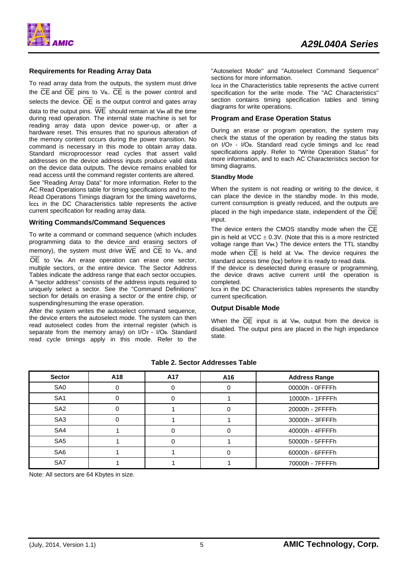

#### **Requirements for Reading Array Data**

To read array data from the outputs, the system must drive the CE and OE pins to V**IL**. CE is the power control and selects the device.  $\overline{OE}$  is the output control and gates array data to the output pins.  $\overline{WE}$  should remain at V<sub>IH</sub> all the time during read operation. The internal state machine is set for reading array data upon device power-up, or after a hardware reset. This ensures that no spurious alteration of the memory content occurs during the power transition. No command is necessary in this mode to obtain array data. Standard microprocessor read cycles that assert valid addresses on the device address inputs produce valid data on the device data outputs. The device remains enabled for read access until the command register contents are altered. See "Reading Array Data" for more information. Refer to the AC Read Operations table for timing specifications and to the Read Operations Timings diagram for the timing waveforms, l**CC1** in the DC Characteristics table represents the active current specification for reading array data.

#### **Writing Commands/Command Sequences**

To write a command or command sequence (which includes programming data to the device and erasing sectors of memory), the system must drive WE and CE to V**IL**, and OE to V**IH**. An erase operation can erase one sector, multiple sectors, or the entire device. The Sector Address Tables indicate the address range that each sector occupies. A "sector address" consists of the address inputs required to uniquely select a sector. See the "Command Definitions" section for details on erasing a sector or the entire chip, or suspending/resuming the erase operation.

After the system writes the autoselect command sequence, the device enters the autoselect mode. The system can then read autoselect codes from the internal register (which is separate from the memory array) on I/O**7** - I/O**0**. Standard read cycle timings apply in this mode. Refer to the "Autoselect Mode" and "Autoselect Command Sequence" sections for more information.

I**CC2** in the Characteristics table represents the active current specification for the write mode. The "AC Characteristics" section contains timing specification tables and timing diagrams for write operations.

#### **Program and Erase Operation Status**

During an erase or program operation, the system may check the status of the operation by reading the status bits on I/O<sub>7</sub> - I/O<sub>0</sub>. Standard read cycle timings and Icc read specifications apply. Refer to "Write Operation Status" for more information, and to each AC Characteristics section for timing diagrams.

#### **Standby Mode**

When the system is not reading or writing to the device, it can place the device in the standby mode. In this mode, current consumption is greatly reduced, and the outputs are placed in the high impedance state, independent of the  $\overline{OE}$ input.

The device enters the CMOS standby mode when the  $\overline{\text{CE}}$ pin is held at  $VCC \pm 0.3V$ . (Note that this is a more restricted voltage range than V**IH**.) The device enters the TTL standby mode when CE is held at V**IH**. The device requires the standard access time (tce) before it is ready to read data.

If the device is deselected during erasure or programming, the device draws active current until the operation is completed.

Icc<sub>3</sub> in the DC Characteristics tables represents the standby current specification.

#### **Output Disable Mode**

When the  $\overline{OE}$  input is at V<sub>IH</sub>, output from the device is disabled. The output pins are placed in the high impedance state.

| <b>Sector</b>   | A18 | A17 | A16 | <b>Address Range</b> |
|-----------------|-----|-----|-----|----------------------|
| SA <sub>0</sub> |     |     |     | 00000h - 0FFFFh      |
| SA <sub>1</sub> |     |     |     | 10000h - 1FFFFh      |
| SA <sub>2</sub> |     |     |     | 20000h - 2FFFFh      |
| SA <sub>3</sub> |     |     |     | 30000h - 3FFFFh      |
| SA4             |     |     |     | 40000h - 4FFFFh      |
| SA <sub>5</sub> |     |     |     | 50000h - 5FFFFh      |
| SA <sub>6</sub> |     |     |     | 60000h - 6FFFFh      |
| SA7             |     |     |     | 70000h - 7FFFFh      |

### **Table 2. Sector Addresses Table**

Note: All sectors are 64 Kbytes in size.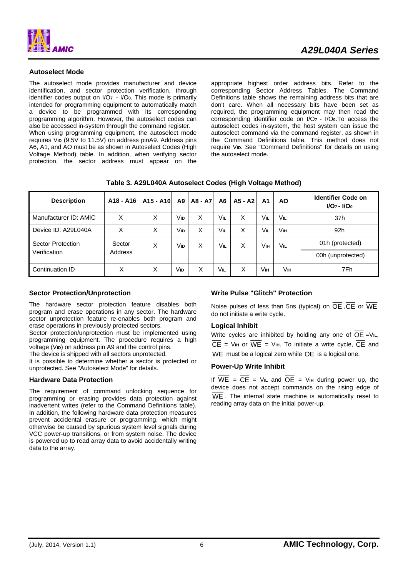

#### **Autoselect Mode**

The autoselect mode provides manufacturer and device identification, and sector protection verification, through identifier codes output on I/O**7** - I/O**0**. This mode is primarily intended for programming equipment to automatically match a device to be programmed with its corresponding programming algorithm. However, the autoselect codes can also be accessed in-system through the command register.

When using programming equipment, the autoselect mode requires V**ID** (9.5V to 11.5V) on address pinA9. Address pins A6, A1, and AO must be as shown in Autoselect Codes (High Voltage Method) table. In addition, when verifying sector protection, the sector address must appear on the

appropriate highest order address bits. Refer to the corresponding Sector Address Tables. The Command Definitions table shows the remaining address bits that are don't care. When all necessary bits have been set as required, the programming equipment may then read the corresponding identifier code on I/O**7** - I/O**0**.To access the autoselect codes in-system, the host system can issue the autoselect command via the command register, as shown in the Command Definitions table. This method does not require V**ID**. See "Command Definitions" for details on using the autoselect mode.

| <b>Description</b>       | A18 - A16 | A15 - A10 | A <sub>9</sub> | A8 - A7 | A6  | A5 - A2 | A <sub>1</sub> | <b>AO</b> | <b>Identifier Code on</b><br>$I/O_7 - I/O_0$ |
|--------------------------|-----------|-----------|----------------|---------|-----|---------|----------------|-----------|----------------------------------------------|
| Manufacturer ID: AMIC    | Χ         | X         | Vıd            | X       | VIL | X       | VIL            | VIL       | 37h                                          |
| Device ID: A29L040A      | Χ         | X         | Vıd            | Χ       | Vil | Χ       | Vıl            | Vін       | 92h                                          |
| <b>Sector Protection</b> | Sector    | X         | Vıd            | X       | Vil | X       | Ѵш             | VIL       | 01h (protected)                              |
| Verification             | Address   |           |                |         |     |         |                |           | 00h (unprotected)                            |
| Continuation ID          | Χ         | Χ         | Vıd            | X       | Vil | Χ       | Vıн            | Vıн       | 7Fh                                          |

**Table 3. A29L040A Autoselect Codes (High Voltage Method)** 

#### **Sector Protection/Unprotection**

The hardware sector protection feature disables both program and erase operations in any sector. The hardware sector unprotection feature re-enables both program and erase operations in previously protected sectors.

Sector protection/unprotection must be implemented using programming equipment. The procedure requires a high voltage (V<sub>ID</sub>) on address pin A9 and the control pins.

The device is shipped with all sectors unprotected.

It is possible to determine whether a sector is protected or unprotected. See "Autoselect Mode" for details.

## **Hardware Data Protection**

The requirement of command unlocking sequence for programming or erasing provides data protection against inadvertent writes (refer to the Command Definitions table). In addition, the following hardware data protection measures prevent accidental erasure or programming, which might otherwise be caused by spurious system level signals during VCC power-up transitions, or from system noise. The device is powered up to read array data to avoid accidentally writing data to the array.

## **Write Pulse "Glitch" Protection**

Noise pulses of less than 5ns (typical) on  $\overline{OE}$ ,  $\overline{CE}$  or  $\overline{WE}$ do not initiate a write cycle.

#### **Logical Inhibit**

Write cycles are inhibited by holding any one of OE =V**IL**,  $\overline{CE}$  = V<sub>IH</sub> or  $\overline{WE}$  = V<sub>IH</sub>. To initiate a write cycle,  $\overline{CE}$  and  $\overline{\text{WE}}$  must be a logical zero while  $\overline{\text{OE}}$  is a logical one.

## **Power-Up Write Inhibit**

If  $\overline{WE} = \overline{CE} = \overline{V_{IL}}$  and  $\overline{OE} = \overline{V_{IH}}$  during power up, the device does not accept commands on the rising edge of WE . The internal state machine is automatically reset to reading array data on the initial power-up.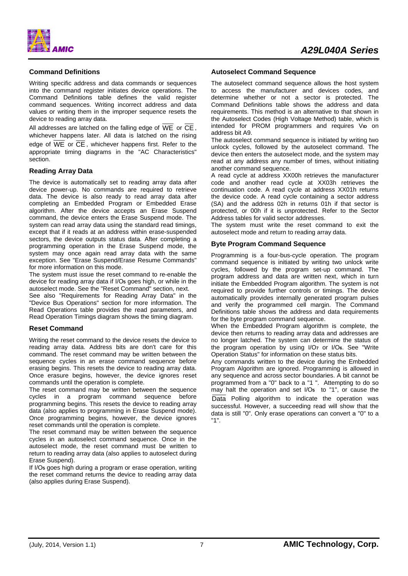

#### **Command Definitions**

Writing specific address and data commands or sequences into the command register initiates device operations. The Command Definitions table defines the valid register command sequences. Writing incorrect address and data values or writing them in the improper sequence resets the device to reading array data.

All addresses are latched on the falling edge of  $\overline{WE}$  or  $\overline{CE}$ , whichever happens later. All data is latched on the rising edge of  $\overline{\text{VE}}$  or  $\overline{\text{CE}}$ , whichever happens first. Refer to the appropriate timing diagrams in the "AC Characteristics" section.

#### **Reading Array Data**

The device is automatically set to reading array data after device power-up. No commands are required to retrieve data. The device is also ready to read array data after completing an Embedded Program or Embedded Erase algorithm. After the device accepts an Erase Suspend command, the device enters the Erase Suspend mode. The system can read array data using the standard read timings, except that if it reads at an address within erase-suspended sectors, the device outputs status data. After completing a programming operation in the Erase Suspend mode, the system may once again read array data with the same exception. See "Erase Suspend/Erase Resume Commands" for more information on this mode.

The system must issue the reset command to re-enable the device for reading array data if I/O**5** goes high, or while in the autoselect mode. See the "Reset Command" section, next.

See also "Requirements for Reading Array Data" in the "Device Bus Operations" section for more information. The Read Operations table provides the read parameters, and Read Operation Timings diagram shows the timing diagram.

#### **Reset Command**

Writing the reset command to the device resets the device to reading array data. Address bits are don't care for this command. The reset command may be written between the sequence cycles in an erase command sequence before erasing begins. This resets the device to reading array data. Once erasure begins, however, the device ignores reset commands until the operation is complete.

The reset command may be written between the sequence cycles in a program command sequence before programming begins. This resets the device to reading array data (also applies to programming in Erase Suspend mode). Once programming begins, however, the device ignores reset commands until the operation is complete.

The reset command may be written between the sequence cycles in an autoselect command sequence. Once in the autoselect mode, the reset command must be written to return to reading array data (also applies to autoselect during Erase Suspend).

If I/O**5** goes high during a program or erase operation, writing the reset command returns the device to reading array data (also applies during Erase Suspend).

#### **Autoselect Command Sequence**

The autoselect command sequence allows the host system to access the manufacturer and devices codes, and determine whether or not a sector is protected. The Command Definitions table shows the address and data requirements. This method is an alternative to that shown in the Autoselect Codes (High Voltage Method) table, which is intended for PROM programmers and requires V<sub>ID</sub> on address bit A9.

The autoselect command sequence is initiated by writing two unlock cycles, followed by the autoselect command. The device then enters the autoselect mode, and the system may read at any address any number of times, without initiating another command sequence.

A read cycle at address XX00h retrieves the manufacturer code and another read cycle at XX03h retrieves the continuation code. A read cycle at address XX01h returns the device code. A read cycle containing a sector address (SA) and the address 02h in returns 01h if that sector is protected, or 00h if it is unprotected. Refer to the Sector Address tables for valid sector addresses.

The system must write the reset command to exit the autoselect mode and return to reading array data.

#### **Byte Program Command Sequence**

Programming is a four-bus-cycle operation. The program command sequence is initiated by writing two unlock write cycles, followed by the program set-up command. The program address and data are written next, which in turn initiate the Embedded Program algorithm. The system is not required to provide further controls or timings. The device automatically provides internally generated program pulses and verify the programmed cell margin. The Command Definitions table shows the address and data requirements for the byte program command sequence.

When the Embedded Program algorithm is complete, the device then returns to reading array data and addresses are no longer latched. The system can determine the status of the program operation by using I/O**7** or I/O**6**. See "Write Operation Status" for information on these status bits.

Any commands written to the device during the Embedded Program Algorithm are ignored. Programming is allowed in any sequence and across sector boundaries. A bit cannot be programmed from a "0" back to a "1 ". Attempting to do so may halt the operation and set I/O**5** to "1", or cause the Data Polling algorithm to indicate the operation was successful. However, a succeeding read will show that the data is still "0". Only erase operations can convert a "0" to a "1".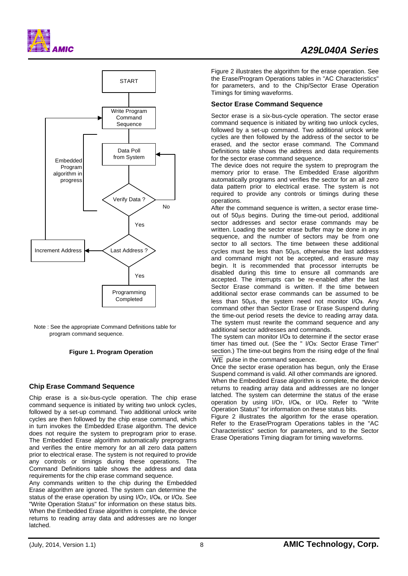





Note : See the appropriate Command Definitions table for program command sequence.

**Figure 1. Program Operation**

## **Chip Erase Command Sequence**

Chip erase is a six-bus-cycle operation. The chip erase command sequence is initiated by writing two unlock cycles, followed by a set-up command. Two additional unlock write cycles are then followed by the chip erase command, which in turn invokes the Embedded Erase algorithm. The device does not require the system to preprogram prior to erase. The Embedded Erase algorithm automatically preprograms and verifies the entire memory for an all zero data pattern prior to electrical erase. The system is not required to provide any controls or timings during these operations. The Command Definitions table shows the address and data requirements for the chip erase command sequence.

Any commands written to the chip during the Embedded Erase algorithm are ignored. The system can determine the status of the erase operation by using I/O**7**, I/O**6**, or I/O**2**. See "Write Operation Status" for information on these status bits. When the Embedded Erase algorithm is complete, the device returns to reading array data and addresses are no longer latched.

Figure 2 illustrates the algorithm for the erase operation. See the Erase/Program Operations tables in "AC Characteristics" for parameters, and to the Chip/Sector Erase Operation Timings for timing waveforms.

#### **Sector Erase Command Sequence**

Sector erase is a six-bus-cycle operation. The sector erase command sequence is initiated by writing two unlock cycles, followed by a set-up command. Two additional unlock write cycles are then followed by the address of the sector to be erased, and the sector erase command. The Command Definitions table shows the address and data requirements for the sector erase command sequence.

The device does not require the system to preprogram the memory prior to erase. The Embedded Erase algorithm automatically programs and verifies the sector for an all zero data pattern prior to electrical erase. The system is not required to provide any controls or timings during these operations.

After the command sequence is written, a sector erase timeout of 50μs begins. During the time-out period, additional sector addresses and sector erase commands may be written. Loading the sector erase buffer may be done in any sequence, and the number of sectors may be from one sector to all sectors. The time between these additional cycles must be less than 50μs, otherwise the last address and command might not be accepted, and erasure may begin. It is recommended that processor interrupts be disabled during this time to ensure all commands are accepted. The interrupts can be re-enabled after the last Sector Erase command is written. If the time between additional sector erase commands can be assumed to be less than 50μs, the system need not monitor I/O**3**. Any command other than Sector Erase or Erase Suspend during the time-out period resets the device to reading array data. The system must rewrite the command sequence and any additional sector addresses and commands.

The system can monitor I/O**3** to determine if the sector erase timer has timed out. (See the " I/O**3**: Sector Erase Timer" section.) The time-out begins from the rising edge of the final

WE pulse in the command sequence.

Once the sector erase operation has begun, only the Erase Suspend command is valid. All other commands are ignored. When the Embedded Erase algorithm is complete, the device returns to reading array data and addresses are no longer latched. The system can determine the status of the erase operation by using I/O**7**, I/O**6**, or I/O**2**. Refer to "Write Operation Status" for information on these status bits.

Figure 2 illustrates the algorithm for the erase operation. Refer to the Erase/Program Operations tables in the "AC Characteristics" section for parameters, and to the Sector Erase Operations Timing diagram for timing waveforms.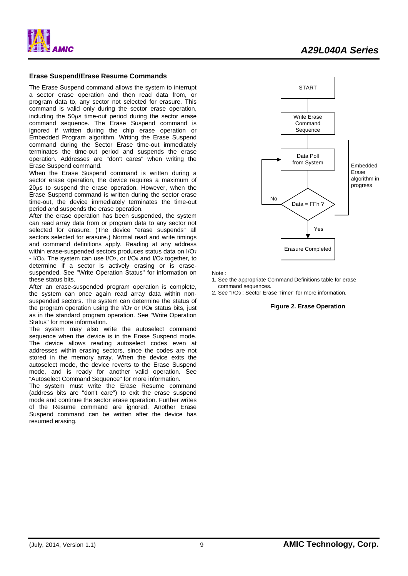



#### **Erase Suspend/Erase Resume Commands**

The Erase Suspend command allows the system to interrupt a sector erase operation and then read data from, or program data to, any sector not selected for erasure. This command is valid only during the sector erase operation, including the 50μs time-out period during the sector erase command sequence. The Erase Suspend command is ignored if written during the chip erase operation or Embedded Program algorithm. Writing the Erase Suspend command during the Sector Erase time-out immediately terminates the time-out period and suspends the erase operation. Addresses are "don't cares" when writing the Erase Suspend command.

When the Erase Suspend command is written during a sector erase operation, the device requires a maximum of 20μs to suspend the erase operation. However, when the Erase Suspend command is written during the sector erase time-out, the device immediately terminates the time-out period and suspends the erase operation.

After the erase operation has been suspended, the system can read array data from or program data to any sector not selected for erasure. (The device "erase suspends" all sectors selected for erasure.) Normal read and write timings and command definitions apply. Reading at any address within erase-suspended sectors produces status data on I/O**<sup>7</sup>** - I/O**0**. The system can use I/O**7**, or I/O**6** and I/O**2** together, to determine if a sector is actively erasing or is erasesuspended. See "Write Operation Status" for information on these status bits.

After an erase-suspended program operation is complete, the system can once again read array data within nonsuspended sectors. The system can determine the status of the program operation using the I/O**7** or I/O**6** status bits, just as in the standard program operation. See "Write Operation Status" for more information.

The system may also write the autoselect command sequence when the device is in the Erase Suspend mode. The device allows reading autoselect codes even at addresses within erasing sectors, since the codes are not stored in the memory array. When the device exits the autoselect mode, the device reverts to the Erase Suspend mode, and is ready for another valid operation. See "Autoselect Command Sequence" for more information.

The system must write the Erase Resume command (address bits are "don't care") to exit the erase suspend mode and continue the sector erase operation. Further writes of the Resume command are ignored. Another Erase Suspend command can be written after the device has resumed erasing.



Note :

1. See the appropriate Command Definitions table for erase command sequences.

2. See "I/O**3** : Sector Erase Timer" for more information.

#### **Figure 2. Erase Operation**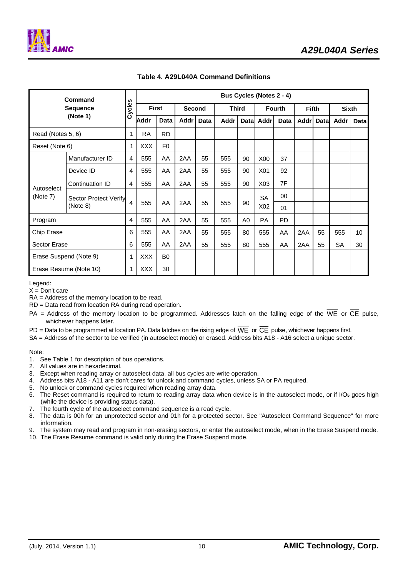

| <b>Command</b><br><b>Sequence</b> |                              |                         | <b>Bus Cycles (Notes 2 - 4)</b> |                |               |      |       |    |                  |           |              |             |              |             |
|-----------------------------------|------------------------------|-------------------------|---------------------------------|----------------|---------------|------|-------|----|------------------|-----------|--------------|-------------|--------------|-------------|
|                                   |                              | Cycles                  | <b>First</b>                    |                | <b>Second</b> |      | Third |    | <b>Fourth</b>    |           | <b>Fifth</b> |             | <b>Sixth</b> |             |
|                                   | (Note 1)                     |                         | <b>Addr</b>                     | Data           | Addr          | Data | Addr  |    | Datal Addrl      | Data      | <b>Addr</b>  | <b>Data</b> | Addr         | <b>Data</b> |
| Read (Notes 5, 6)                 |                              | 1                       | <b>RA</b>                       | <b>RD</b>      |               |      |       |    |                  |           |              |             |              |             |
| Reset (Note 6)                    |                              | 1                       | <b>XXX</b>                      | F <sub>0</sub> |               |      |       |    |                  |           |              |             |              |             |
|                                   | Manufacturer ID              | $\overline{4}$          | 555                             | AA             | 2AA           | 55   | 555   | 90 | X00              | 37        |              |             |              |             |
|                                   | Device ID<br>Continuation ID |                         | 555                             | AA             | 2AA           | 55   | 555   | 90 | X01              | 92        |              |             |              |             |
| Autoselect                        |                              |                         | 555                             | AA             | 2AA           | 55   | 555   | 90 | X <sub>0</sub> 3 | 7F        |              |             |              |             |
| (Note 7)                          | <b>Sector Protect Verify</b> |                         |                                 |                |               |      | 555   | 90 | <b>SA</b>        | 00        |              |             |              |             |
|                                   | (Note 8)                     | $\overline{\mathbf{A}}$ | 555                             | AA             | 2AA           | 55   |       |    | X02              | 01        |              |             |              |             |
| Program                           |                              | 4                       | 555                             | AA             | 2AA           | 55   | 555   | A0 | <b>PA</b>        | <b>PD</b> |              |             |              |             |
| Chip Erase                        |                              | 6                       | 555                             | AA             | 2AA           | 55   | 555   | 80 | 555              | AA        | 2AA          | 55          | 555          | 10          |
| <b>Sector Erase</b>               |                              | 6                       | 555                             | AA             | 2AA           | 55   | 555   | 80 | 555              | AA        | 2AA          | 55          | SA           | 30          |
| Erase Suspend (Note 9)            |                              | 1                       | <b>XXX</b>                      | B <sub>0</sub> |               |      |       |    |                  |           |              |             |              |             |
|                                   | Erase Resume (Note 10)       | 1                       | <b>XXX</b>                      | 30             |               |      |       |    |                  |           |              |             |              |             |

**Table 4. A29L040A Command Definitions** 

Legend:

 $X = Don't care$ 

RA = Address of the memory location to be read.

RD = Data read from location RA during read operation.

- PA = Address of the memory location to be programmed. Addresses latch on the falling edge of the  $\overline{WE}$  or  $\overline{CE}$  pulse, whichever happens later.
- PD = Data to be programmed at location PA. Data latches on the rising edge of  $\overline{WE}$  or  $\overline{CE}$  pulse, whichever happens first.

SA = Address of the sector to be verified (in autoselect mode) or erased. Address bits A18 - A16 select a unique sector.

Note:

- 1. See Table 1 for description of bus operations.
- 2. All values are in hexadecimal.
- 3. Except when reading array or autoselect data, all bus cycles are write operation.
- 4. Address bits A18 A11 are don't cares for unlock and command cycles, unless SA or PA required.
- 5. No unlock or command cycles required when reading array data.
- 6. The Reset command is required to return to reading array data when device is in the autoselect mode, or if I/O**5** goes high (while the device is providing status data).
- 7. The fourth cycle of the autoselect command sequence is a read cycle.
- 8. The data is 00h for an unprotected sector and 01h for a protected sector. See "Autoselect Command Sequence" for more information.
- 9. The system may read and program in non-erasing sectors, or enter the autoselect mode, when in the Erase Suspend mode.
- 10. The Erase Resume command is valid only during the Erase Suspend mode.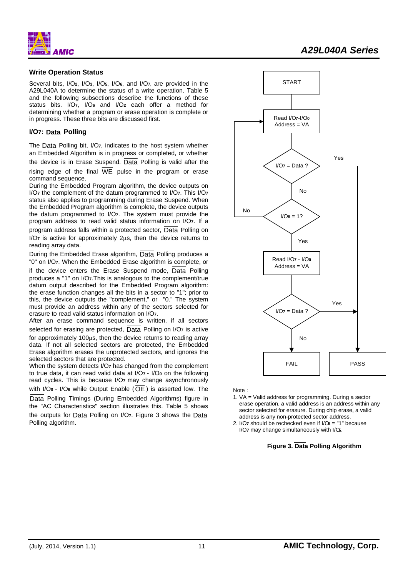

# *A29L040A Series*

#### **Write Operation Status**

Several bits, I/O**2**, I/O**3**, I/O**5**, I/O**6**, and I/O**7,** are provided in the A29L040A to determine the status of a write operation. Table 5 and the following subsections describe the functions of these status bits. I/O**7**, I/O**6** and I/O**2** each offer a method for determining whether a program or erase operation is complete or in progress. These three bits are discussed first.

#### **I/O7: Data Polling**

The Data Polling bit, I/O**7**, indicates to the host system whether an Embedded Algorithm is in progress or completed, or whether the device is in Erase Suspend.  $\overline{Data}$  Polling is valid after the

rising edge of the final  $\overline{WE}$  pulse in the program or erase command sequence.

During the Embedded Program algorithm, the device outputs on I/O**7** the complement of the datum programmed to I/O**7**. This I/O**<sup>7</sup>** status also applies to programming during Erase Suspend. When the Embedded Program algorithm is complete, the device outputs the datum programmed to I/O**7**. The system must provide the program address to read valid status information on I/O**7**. If a program address falls within a protected sector, Data Polling on I/O**7** is active for approximately 2μs, then the device returns to reading array data.

During the Embedded Erase algorithm, Data Polling produces a "0" on I/O**7**. When the Embedded Erase algorithm is complete, or if the device enters the Erase Suspend mode, Data Polling produces a "1" on I/O**7**.This is analogous to the complement/true datum output described for the Embedded Program algorithm: the erase function changes all the bits in a sector to "1"; prior to this, the device outputs the "complement," or "0." The system must provide an address within any of the sectors selected for erasure to read valid status information on I/O**7**.

After an erase command sequence is written, if all sectors selected for erasing are protected, Data Polling on I/O**7** is active for approximately 100μs, then the device returns to reading array data. If not all selected sectors are protected, the Embedded Erase algorithm erases the unprotected sectors, and ignores the selected sectors that are protected.

When the system detects I/O**7** has changed from the complement to true data, it can read valid data at I/O**7** - I/O**0** on the following read cycles. This is because I/O**7** may change asynchronously with I/O**0** - I/O**6** while Output Enable (OE ) is asserted low. The Data Polling Timings (During Embedded Algorithms) figure in the "AC Characteristics" section illustrates this. Table 5 shows the outputs for Data Polling on I/O**7**. Figure 3 shows the Data Polling algorithm.



Note :

- 1. VA = Valid address for programming. During a sector erase operation, a valid address is an address within any sector selected for erasure. During chip erase, a valid address is any non-protected sector address.
- 2. I/O**7** should be rechecked even if I/O**5** = "1" because I/O**7** may change simultaneously with I/O**5**.

#### **Figure 3. Data Polling Algorithm**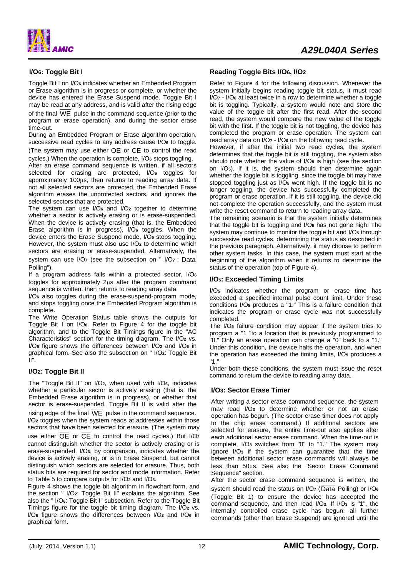

## **I/O6: Toggle Bit I**

Toggle Bit I on I/O**6** indicates whether an Embedded Program or Erase algorithm is in progress or complete, or whether the device has entered the Erase Suspend mode. Toggle Bit I may be read at any address, and is valid after the rising edge

of the final WE pulse in the command sequence (prior to the program or erase operation), and during the sector erase time-out.

During an Embedded Program or Erase algorithm operation, successive read cycles to any address cause I/O**6** to toggle. (The system may use either OE or CE to control the read

cycles.) When the operation is complete, I/O**6** stops toggling.

After an erase command sequence is written, if all sectors selected for erasing are protected, I/O**6** toggles for approximately 100μs, then returns to reading array data. If not all selected sectors are protected, the Embedded Erase algorithm erases the unprotected sectors, and ignores the selected sectors that are protected.

The system can use I/O**6** and I/O**2** together to determine whether a sector is actively erasing or is erase-suspended. When the device is actively erasing (that is, the Embedded Erase algorithm is in progress), I/O**6** toggles. When the device enters the Erase Suspend mode, I/O**6** stops toggling. However, the system must also use I/O**2** to determine which sectors are erasing or erase-suspended. Alternatively, the

system can use I/O**7** (see the subsection on " I/O**7** : Data Polling").

If a program address falls within a protected sector, I/O**<sup>6</sup>** toggles for approximately 2μs after the program command sequence is written, then returns to reading array data.

I/O**6** also toggles during the erase-suspend-program mode, and stops toggling once the Embedded Program algorithm is complete.

The Write Operation Status table shows the outputs for Toggle Bit I on I/O**6**. Refer to Figure 4 for the toggle bit algorithm, and to the Toggle Bit Timings figure in the "AC Characteristics" section for the timing diagram. The I/O**2** vs. I/O**6** figure shows the differences between I/O**2** and I/O**6** in graphical form. See also the subsection on " I/O**2**: Toggle Bit II".

## **I/O2: Toggle Bit II**

The "Toggle Bit II" on I/O**2**, when used with I/O**6**, indicates whether a particular sector is actively erasing (that is, the Embedded Erase algorithm is in progress), or whether that sector is erase-suspended. Toggle Bit II is valid after the rising edge of the final  $\overline{\text{WE}}$  pulse in the command sequence.

I/O**2** toggles when the system reads at addresses within those sectors that have been selected for erasure. (The system may use either OE or CE to control the read cycles.) But I/O**<sup>2</sup>** cannot distinguish whether the sector is actively erasing or is erase-suspended. I/O**6**, by comparison, indicates whether the device is actively erasing, or is in Erase Suspend, but cannot distinguish which sectors are selected for erasure. Thus, both status bits are required for sector and mode information. Refer to Table 5 to compare outputs for I/O**2** and I/O**6**.

Figure 4 shows the toggle bit algorithm in flowchart form, and the section " I/O**2**: Toggle Bit II" explains the algorithm. See also the " I/O**6**: Toggle Bit I" subsection. Refer to the Toggle Bit Timings figure for the toggle bit timing diagram. The I/O**2** vs. I/O**6** figure shows the differences between I/O**2** and I/O**6** in graphical form.

#### **Reading Toggle Bits I/O6, I/O2**

Refer to Figure 4 for the following discussion. Whenever the system initially begins reading toggle bit status, it must read I/O**7** - I/O**0** at least twice in a row to determine whether a toggle bit is toggling. Typically, a system would note and store the value of the toggle bit after the first read. After the second read, the system would compare the new value of the toggle bit with the first. If the toggle bit is not toggling, the device has completed the program or erase operation. The system can read array data on I/O**7** - I/O**0** on the following read cycle.

However, if after the initial two read cycles, the system determines that the toggle bit is still toggling, the system also should note whether the value of I/O**5** is high (see the section on I/O**5**). If it is, the system should then determine again whether the toggle bit is toggling, since the toggle bit may have stopped toggling just as I/O**5** went high. If the toggle bit is no longer toggling, the device has successfully completed the program or erase operation. If it is still toggling, the device did not complete the operation successfully, and the system must write the reset command to return to reading array data.

The remaining scenario is that the system initially determines that the toggle bit is toggling and I/O**5** has not gone high. The system may continue to monitor the toggle bit and I/O**5** through successive read cycles, determining the status as described in the previous paragraph. Alternatively, it may choose to perform other system tasks. In this case, the system must start at the beginning of the algorithm when it returns to determine the status of the operation (top of Figure 4).

#### **I/O5: Exceeded Timing Limits**

I/O**5** indicates whether the program or erase time has exceeded a specified internal pulse count limit. Under these conditions I/O**5** produces a "1." This is a failure condition that indicates the program or erase cycle was not successfully completed.

The I/O**5** failure condition may appear if the system tries to program a "1 "to a location that is previously programmed to "0." Only an erase operation can change a "0" back to a "1." Under this condition, the device halts the operation, and when the operation has exceeded the timing limits, I/O**5** produces a "1."

Under both these conditions, the system must issue the reset command to return the device to reading array data.

## **I/O3: Sector Erase Timer**

After writing a sector erase command sequence, the system may read I/O**3** to determine whether or not an erase operation has begun. (The sector erase timer does not apply to the chip erase command.) If additional sectors are selected for erasure, the entire time-out also applies after each additional sector erase command. When the time-out is complete, I/O**3** switches from "0" to "1." The system may ignore I/O**3** if the system can guarantee that the time between additional sector erase commands will always be less than 50μs. See also the "Sector Erase Command Sequence" section.

After the sector erase command sequence is written, the system should read the status on I/O**7** (Data Polling) or I/O**<sup>6</sup>** (Toggle Bit 1) to ensure the device has accepted the command sequence, and then read I/O**3**. If I/O**3** is "1", the internally controlled erase cycle has begun; all further commands (other than Erase Suspend) are ignored until the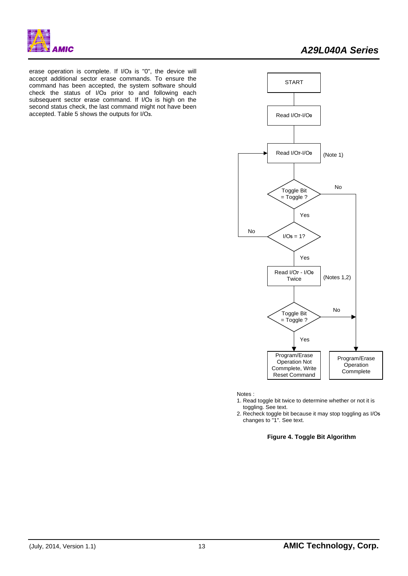

erase operation is complete. If I/O**3** is "0", the device will accept additional sector erase commands. To ensure the command has been accepted, the system software should check the status of I/O**3** prior to and following each subsequent sector erase command. If I/O**3** is high on the second status check, the last command might not have been accepted. Table 5 shows the outputs for I/O**3**.



Notes :

- 1. Read toggle bit twice to determine whether or not it is toggling. See text.
- 2. Recheck toggle bit because it may stop toggling asI/O**5** changes to "1". See text.

## **Figure 4. Toggle Bit Algorithm**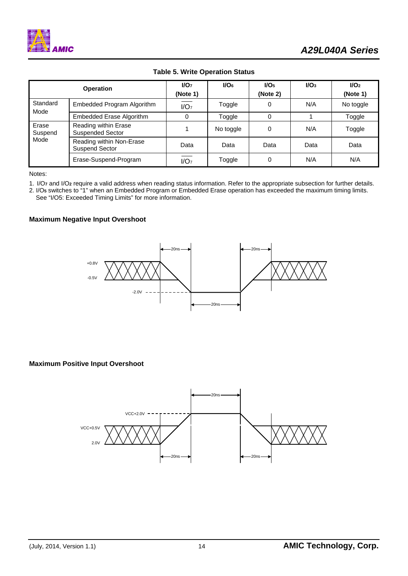

|                          | <b>Operation</b>                                | $1/O7$<br>(Note 1) | I/O <sub>6</sub> | I/O <sub>5</sub><br>(Note 2) | $I/O3$ | 1/O <sub>2</sub><br>(Note 1) |
|--------------------------|-------------------------------------------------|--------------------|------------------|------------------------------|--------|------------------------------|
| Standard<br>Mode         | Embedded Program Algorithm                      | I/O <sub>7</sub>   | Toggle           | 0                            | N/A    | No toggle                    |
|                          | Embedded Erase Algorithm                        | 0                  | Toggle           | ი                            |        | Toggle                       |
| Erase<br>Suspend<br>Mode | Reading within Erase<br><b>Suspended Sector</b> |                    | No toggle        |                              | N/A    | Toggle                       |
|                          | Reading within Non-Erase<br>Suspend Sector      | Data               | Data             | Data                         | Data   | Data                         |
|                          | Erase-Suspend-Program                           | I/O <sub>7</sub>   | Toggle           |                              | N/A    | N/A                          |

# **Table 5. Write Operation Status**

Notes:

1. I/O**7** and I/O**2** require a valid address when reading status information. Refer to the appropriate subsection for further details.

2. I/O**5** switches to "1" when an Embedded Program or Embedded Erase operation has exceeded the maximum timing limits. See "I/O5: Exceeded Timing Limits" for more information.

#### **Maximum Negative Input Overshoot**



### **Maximum Positive Input Overshoot**

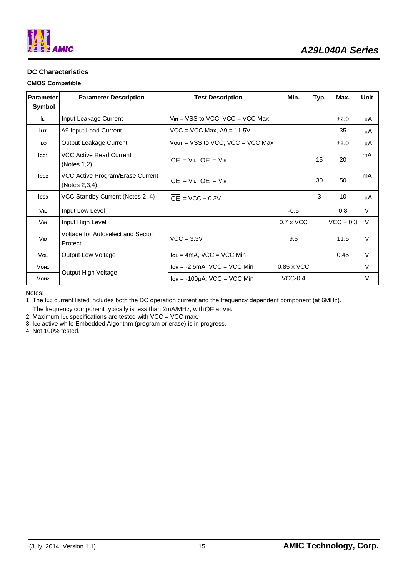

# **DC Characteristics**

## **CMOS Compatible**

| Parameter           | <b>Parameter Description</b>                      | <b>Test Description</b>                                               | Min.              | Typ. | Max.        | <b>Unit</b> |
|---------------------|---------------------------------------------------|-----------------------------------------------------------------------|-------------------|------|-------------|-------------|
| Symbol              |                                                   |                                                                       |                   |      |             |             |
| Iц                  | Input Leakage Current                             | $V_{IN}$ = VSS to VCC, VCC = VCC Max                                  |                   |      | ±2.0        | μA          |
| ILIT.               | A9 Input Load Current                             | $VCC = VCC Max, A9 = 11.5V$                                           |                   |      | 35          | μA          |
| lLo                 | Output Leakage Current                            | $V$ out = VSS to VCC, VCC = VCC Max                                   |                   |      | ±2.0        | μA          |
| Icc <sub>1</sub>    | <b>VCC Active Read Current</b><br>(Notes $1,2$ )  | $\overline{CE}$ = V <sub>IL</sub> , $\overline{OE}$ = V <sub>IH</sub> |                   | 15   | 20          | mA          |
| cc2                 | VCC Active Program/Erase Current<br>(Notes 2,3,4) | $\overline{CE}$ = V <sub>IL</sub> , $\overline{OE}$ = V <sub>IH</sub> |                   | 30   | 50          | mA          |
| Icc <sub>3</sub>    | VCC Standby Current (Notes 2, 4)                  | $CE = VCC \pm 0.3V$                                                   |                   | 3    | 10          | μA          |
| Vil                 | Input Low Level                                   |                                                                       | $-0.5$            |      | 0.8         | V           |
| Vін.                | Input High Level                                  |                                                                       | $0.7 \times$ VCC  |      | $VCC + 0.3$ | $\vee$      |
| Vid                 | Voltage for Autoselect and Sector<br>Protect      | $VCC = 3.3V$                                                          | 9.5               |      | 11.5        | $\vee$      |
| <b>Vol</b>          | <b>Output Low Voltage</b>                         | $Ioc = 4mA$ , VCC = VCC Min                                           |                   |      | 0.45        | $\vee$      |
| Vo <sub>H1</sub>    |                                                   | $I_{OH} = -2.5mA$ , VCC = VCC Min                                     | $0.85 \times$ VCC |      |             | $\vee$      |
| $V$ OH <sub>2</sub> | Output High Voltage                               | $I$ <sub>OH</sub> = -100 $\mu$ A. VCC = VCC Min                       | $VCC-0.4$         |      |             | V           |

Notes:

1. The Icc current listed includes both the DC operation current and the frequency dependent component (at 6MHz).

The frequency component typically is less than 2mA/MHz, with  $\overline{\text{OE}}$  at Vin.

2. Maximum I**CC** specifications are tested with VCC = VCC max.

3. I**CC** active while Embedded Algorithm (program or erase) is in progress.

4. Not 100% tested.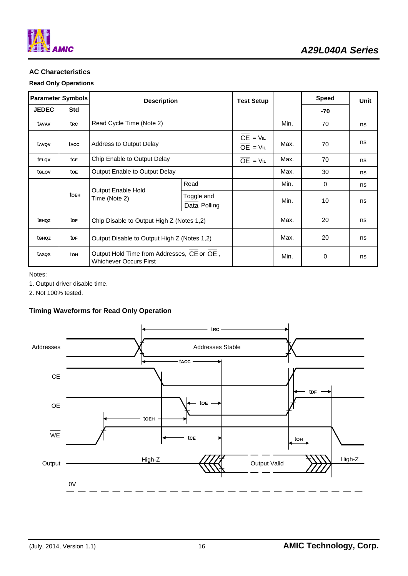

# **AC Characteristics**

## **Read Only Operations**

| <b>Parameter Symbols</b> |                                             | <b>Description</b>                                                          |                                           | <b>Test Setup</b>        |      | <b>Speed</b> | Unit |
|--------------------------|---------------------------------------------|-----------------------------------------------------------------------------|-------------------------------------------|--------------------------|------|--------------|------|
| <b>JEDEC</b>             | <b>Std</b>                                  |                                                                             |                                           |                          | -70  |              |      |
| tavav                    | trc                                         | Read Cycle Time (Note 2)                                                    |                                           |                          | Min. | 70           | ns   |
| tavov                    | tacc                                        | Address to Output Delay                                                     |                                           | $CE = VIL$<br>$OE = VIL$ | Max. | 70           | ns   |
| telov                    | tce                                         | Chip Enable to Output Delay                                                 | $OE = VIL$                                | Max.                     | 70   | ns           |      |
| tglov                    | toe                                         | Output Enable to Output Delay                                               |                                           | Max.                     | 30   | ns           |      |
|                          |                                             |                                                                             | Read                                      |                          | Min. | $\Omega$     | ns   |
|                          | Output Enable Hold<br>toeh<br>Time (Note 2) |                                                                             | Toggle and<br>Data Polling                |                          | Min. | 10           | ns   |
| tenoz                    | tdf                                         |                                                                             | Chip Disable to Output High Z (Notes 1,2) |                          |      | 20           | ns   |
| tghqz                    | tdf                                         | Output Disable to Output High Z (Notes 1,2)                                 |                                           | Max.                     | 20   | ns           |      |
| taxox                    | ton                                         | Output Hold Time from Addresses, CE or OE,<br><b>Whichever Occurs First</b> |                                           |                          | Min. | 0            | ns   |

Notes:

1. Output driver disable time.

2. Not 100% tested.

# **Timing Waveforms for Read Only Operation**

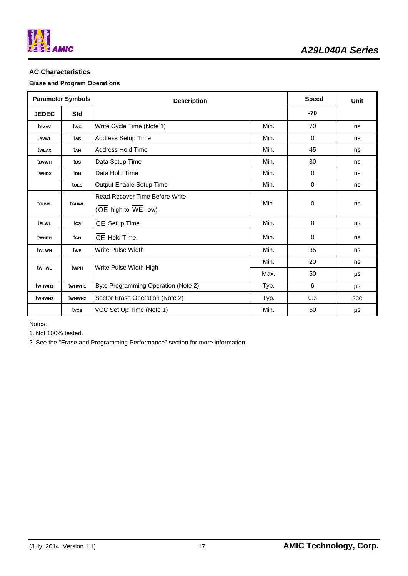

# **AC Characteristics**

# **Erase and Program Operations**

| <b>Parameter Symbols</b> |                    | <b>Description</b>                    |      | <b>Speed</b> | Unit |
|--------------------------|--------------------|---------------------------------------|------|--------------|------|
| <b>JEDEC</b>             | <b>Std</b>         |                                       |      | $-70$        |      |
| tavav                    | twc                | Write Cycle Time (Note 1)             | Min. | 70           | ns   |
| tavwL                    | tas                | Address Setup Time                    | Min. | 0            | ns   |
| twlax                    | tah                | Address Hold Time                     | Min. | 45           | ns   |
| t <sub>DVWH</sub>        | tps                | Data Setup Time                       | Min. | 30           | ns   |
| twhdx                    | ton                | Data Hold Time                        | Min. | $\mathbf 0$  | ns   |
|                          | toes               | Output Enable Setup Time              | Min. | $\mathbf 0$  | ns   |
| tGHWL                    | tghwl              | <b>Read Recover Time Before Write</b> | Min. | $\Omega$     | ns   |
|                          |                    | (OE high to WE low)                   |      |              |      |
| telwl                    | tcs                | CE Setup Time                         | Min. | 0            | ns   |
| twhen                    | tсн                | CE Hold Time                          | Min. | $\mathbf 0$  | ns   |
| tw∟wн                    | twe                | Write Pulse Width                     | Min. | 35           | ns   |
|                          | twpH               |                                       | Min. | 20           | ns   |
| twhwl                    |                    | Write Pulse Width High                | Max. | 50           | μS   |
| twhw <sub>H1</sub>       | twhwH1             | Byte Programming Operation (Note 2)   | Typ. | 6            | μS   |
| twhw <sub>H2</sub>       | twhw <sub>H2</sub> | Sector Erase Operation (Note 2)       | Typ. | 0.3          | sec  |
|                          | tvcs               | VCC Set Up Time (Note 1)              | Min. | 50           | μS   |

Notes:

1. Not 100% tested.

2. See the "Erase and Programming Performance" section for more information.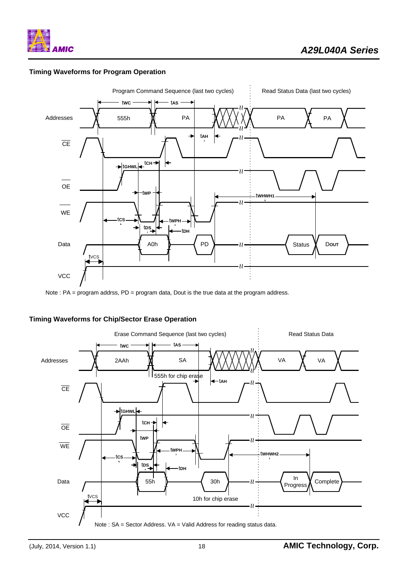

# **Timing Waveforms for Program Operation**



Note : PA = program addrss, PD = program data, Dout is the true data at the program address.

#### **Timing Waveforms for Chip/Sector Erase Operation**

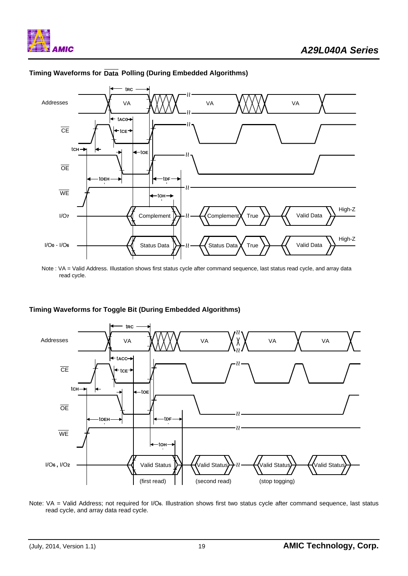

# **Timing Waveforms for Data Polling (During Embedded Algorithms)**

# **Timing Waveforms for Toggle Bit (During Embedded Algorithms)**



Note: VA = Valid Address; not required for I/O**6**. Illustration shows first two status cycle after command sequence, last status read cycle, and array data read cycle.

Note : VA = Valid Address. Illustation shows first status cycle after command sequence, last status read cycle, and array data read cycle.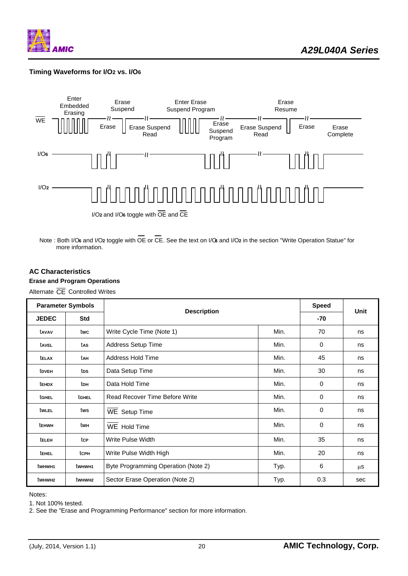

# **Timing Waveforms for I/O2 vs. I/O6**



Note : Both I/O**6** and I/O**2** toggle with OE or CE. See the text on I/O**6** and I/O**2** in the section "Write Operation Statue" for more information.

#### **AC Characteristics**

## **Erase and Program Operations**

Alternate CE Controlled Writes

| <b>Parameter Symbols</b> |                    | <b>Description</b>                  | <b>Speed</b> | Unit     |     |
|--------------------------|--------------------|-------------------------------------|--------------|----------|-----|
| <b>JEDEC</b>             | <b>Std</b>         |                                     | -70          |          |     |
| tavav                    | twc                | Write Cycle Time (Note 1)           | Min.         | 70       | ns  |
| tavel                    | tas                | Address Setup Time                  | Min.         | 0        | ns  |
| <b>TELAX</b>             | tah                | Address Hold Time                   | Min.         | 45       | ns  |
| tdveh                    | tps                | Data Setup Time                     | Min.         | 30       | ns  |
| tehdx                    | ton                | Data Hold Time                      | Min.         | 0        | ns  |
| tghel                    | tGHEL              | Read Recover Time Before Write      | Min.         | $\Omega$ | ns  |
| twlel                    | tws                | <b>WE Setup Time</b>                | Min.         | 0        | ns  |
| tehwh                    | twн                | WE Hold Time                        | Min.         | 0        | ns  |
| teleh                    | tcp                | Write Pulse Width                   | Min.         | 35       | ns  |
| <b>TEHEL</b>             | tcph               | Write Pulse Width High              | Min.         | 20       | ns  |
| twhw <sub>H1</sub>       | twhw <sub>H1</sub> | Byte Programming Operation (Note 2) | Typ.         | 6        | μS  |
| twhwh2                   | twhw <sub>H2</sub> | Sector Erase Operation (Note 2)     | Typ.         | 0.3      | sec |

Notes:

1. Not 100% tested.

2. See the "Erase and Programming Performance" section for more information.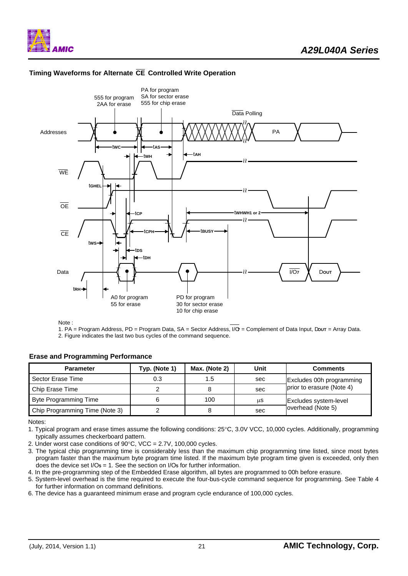





Note :

1. PA = Program Address, PD = Program Data, SA = Sector Address, I/O**7** = Complement of Data Input, D**OUT** = Array Data. 2. Figure indicates the last two bus cycles of the command sequence.

#### **Erase and Programming Performance**

| <b>Parameter</b>               | Typ. (Note 1) | Max. (Note 2) | Unit | <b>Comments</b>           |
|--------------------------------|---------------|---------------|------|---------------------------|
| Sector Erase Time              | 0.3           | 1.5           | sec  | Excludes 00h programming  |
| Chip Erase Time                |               |               | sec  | prior to erasure (Note 4) |
| Byte Programming Time          |               | 100           | μS   | Excludes system-level     |
| Chip Programming Time (Note 3) |               |               | sec  | overhead (Note 5)         |

Notes:

1. Typical program and erase times assume the following conditions: 25°C, 3.0V VCC, 10,000 cycles. Additionally, programming typically assumes checkerboard pattern.

2. Under worst case conditions of 90°C, VCC = 2.7V, 100,000 cycles.

3. The typical chip programming time is considerably less than the maximum chip programming time listed, since most bytes program faster than the maximum byte program time listed. If the maximum byte program time given is exceeded, only then does the device set I/O**5** = 1. See the section on I/O**5** for further information.

4. In the pre-programming step of the Embedded Erase algorithm, all bytes are programmed to 00h before erasure.

5. System-level overhead is the time required to execute the four-bus-cycle command sequence for programming. See Table 4 for further information on command definitions.

6. The device has a guaranteed minimum erase and program cycle endurance of 100,000 cycles.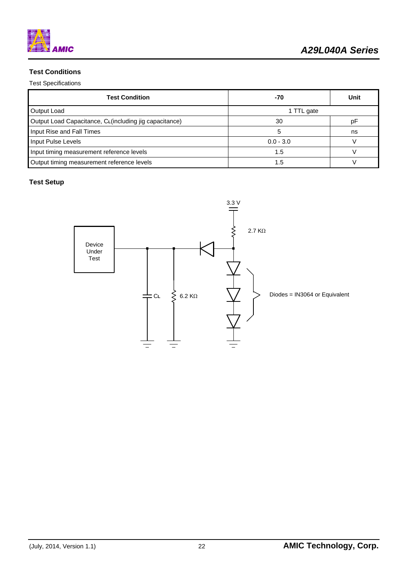

# **Test Conditions**

Test Specifications

| <b>Test Condition</b>                                   | -70         | Unit |  |
|---------------------------------------------------------|-------------|------|--|
| Output Load                                             | 1 TTL gate  |      |  |
| Output Load Capacitance, CL (including jig capacitance) | 30          | D۲   |  |
| Input Rise and Fall Times                               |             | ns   |  |
| Input Pulse Levels                                      | $0.0 - 3.0$ |      |  |
| Input timing measurement reference levels               | 1.5         |      |  |
| Output timing measurement reference levels              | 1.5         |      |  |

# **Test Setup**

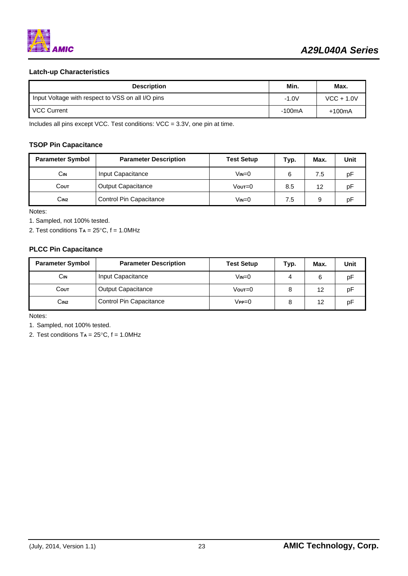

# **Latch-up Characteristics**

| <b>Description</b>                                | Min.    | Max.         |
|---------------------------------------------------|---------|--------------|
| Input Voltage with respect to VSS on all I/O pins | $-1.0V$ | $VCC + 1.0V$ |
| <b>VCC Current</b>                                | -100mA  | $+100mA$     |

Includes all pins except VCC. Test conditions: VCC = 3.3V, one pin at time.

## **TSOP Pin Capacitance**

| <b>Parameter Symbol</b> | <b>Parameter Description</b> | <b>Test Setup</b> | Typ. | Max. | Unit |
|-------------------------|------------------------------|-------------------|------|------|------|
| Сін                     | Input Capacitance            | $V$ in= $0$       | 6    | 7.5  | рF   |
| Соит                    | <b>Output Capacitance</b>    | $V$ out= $0$      | 8.5  | 12   | рF   |
| C <sub>IN2</sub>        | Control Pin Capacitance      |                   | 7.5  |      | рF   |

Notes:

1. Sampled, not 100% tested.

2. Test conditions T**A** = 25°C, f = 1.0MHz

## **PLCC Pin Capacitance**

| <b>Parameter Symbol</b> | <b>Parameter Description</b> | <b>Test Setup</b> | Typ. | Max. | Unit |
|-------------------------|------------------------------|-------------------|------|------|------|
| Сін                     | Input Capacitance            | Vin=0             | 4    | 6    | рF   |
| Соит                    | <b>Output Capacitance</b>    | $V$ out=0         |      | 12   | рF   |
| C <sub>IN2</sub>        | Control Pin Capacitance      | $V$ PP $=$ $0$    |      | 12   | рF   |

Notes:

1. Sampled, not 100% tested.

2. Test conditions T**A** = 25°C, f = 1.0MHz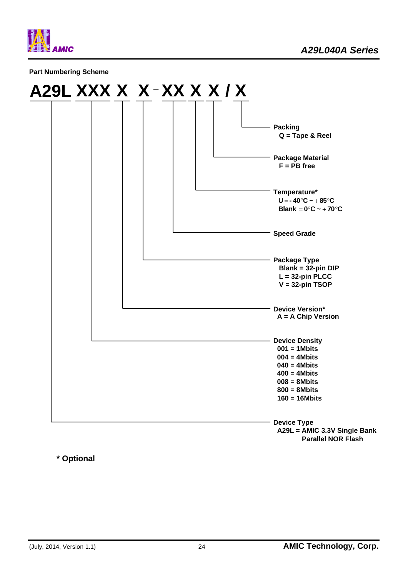

**Part Numbering Scheme** 



**\* Optional**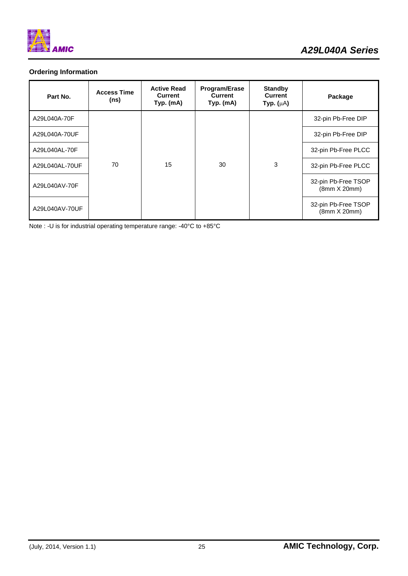

# **Ordering Information**

| Part No.       | <b>Access Time</b><br>(ns) | <b>Active Read</b><br>Current<br>Typ. (mA) | <b>Program/Erase</b><br><b>Current</b><br>Typ. (mA) | <b>Standby</b><br>Current<br>Typ. $(\mu A)$ | Package                             |                                     |
|----------------|----------------------------|--------------------------------------------|-----------------------------------------------------|---------------------------------------------|-------------------------------------|-------------------------------------|
| A29L040A-70F   |                            |                                            |                                                     |                                             | 32-pin Pb-Free DIP                  |                                     |
| A29L040A-70UF  |                            |                                            |                                                     |                                             | 32-pin Pb-Free DIP                  |                                     |
| A29L040AL-70F  |                            |                                            |                                                     |                                             | 32-pin Pb-Free PLCC                 |                                     |
| A29L040AL-70UF | 70                         | 15                                         | 30                                                  | 3                                           | 32-pin Pb-Free PLCC                 |                                     |
| A29L040AV-70F  |                            |                                            |                                                     |                                             |                                     | 32-pin Pb-Free TSOP<br>(8mm X 20mm) |
| A29L040AV-70UF |                            |                                            |                                                     |                                             | 32-pin Pb-Free TSOP<br>(8mm X 20mm) |                                     |

Note : -U is for industrial operating temperature range: -40°C to +85°C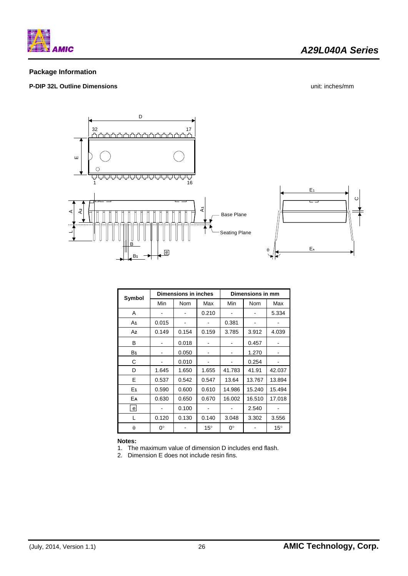

# **Package Information**

# **P-DIP 32L Outline Dimensions** unit: inches/mm



| Symbol         | <b>Dimensions in inches</b> |            |              | Dimensions in mm |            |              |
|----------------|-----------------------------|------------|--------------|------------------|------------|--------------|
|                | Min                         | <b>Nom</b> | Max          | Min              | <b>Nom</b> | Max          |
| A              |                             |            | 0.210        |                  |            | 5.334        |
| A1             | 0.015                       |            |              | 0.381            |            |              |
| A <sub>2</sub> | 0.149                       | 0.154      | 0.159        | 3.785            | 3.912      | 4.039        |
| В              |                             | 0.018      |              |                  | 0.457      |              |
| B <sub>1</sub> |                             | 0.050      |              |                  | 1.270      |              |
| С              |                             | 0.010      |              |                  | 0.254      |              |
| D              | 1.645                       | 1.650      | 1.655        | 41.783           | 41.91      | 42.037       |
| E              | 0.537                       | 0.542      | 0.547        | 13.64            | 13.767     | 13.894       |
| E <sub>1</sub> | 0.590                       | 0.600      | 0.610        | 14.986           | 15.240     | 15.494       |
| EA             | 0.630                       | 0.650      | 0.670        | 16.002           | 16.510     | 17.018       |
| $\mathbf{e}$   |                             | 0.100      |              |                  | 2.540      |              |
| L              | 0.120                       | 0.130      | 0.140        | 3.048            | 3.302      | 3.556        |
| $\theta$       | $0^{\circ}$                 |            | $15^{\circ}$ | $0^{\circ}$      |            | $15^{\circ}$ |

#### **Notes:**

1. The maximum value of dimension D includes end flash.

2. Dimension E does not include resin fins.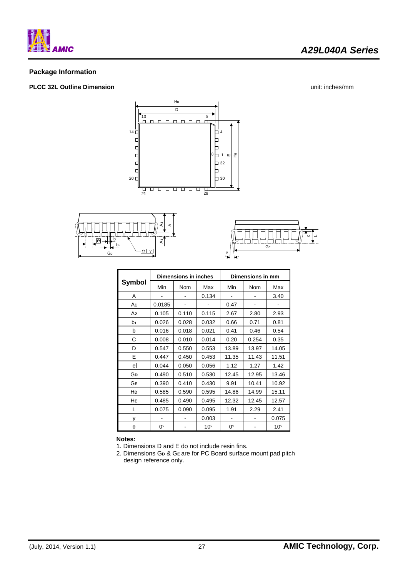

# **Package Information**

# **PLCC 32L Outline Dimension** unit: inches/mm

*A29L040A Series* 







|            | <b>Dimensions in inches</b> |            |              | Dimensions in mm |            |              |  |
|------------|-----------------------------|------------|--------------|------------------|------------|--------------|--|
| Symbol     | Min                         | <b>Nom</b> | Max          | Min              | <b>Nom</b> | Max          |  |
| A          |                             |            | 0.134        |                  |            | 3.40         |  |
| A1         | 0.0185                      |            |              | 0.47             |            |              |  |
| A2         | 0.105                       | 0.110      | 0.115        | 2.67             | 2.80       | 2.93         |  |
| b1         | 0.026                       | 0.028      | 0.032        | 0.66             | 0.71       | 0.81         |  |
| b          | 0.016                       | 0.018      | 0.021        | 0.41             | 0.46       | 0.54         |  |
| С          | 0.008                       | 0.010      | 0.014        | 0.20             | 0.254      | 0.35         |  |
| D          | 0.547                       | 0.550      | 0.553        | 13.89            | 13.97      | 14.05        |  |
| Е          | 0.447                       | 0.450      | 0.453        | 11.35            | 11.43      | 11.51        |  |
| $\epsilon$ | 0.044                       | 0.050      | 0.056        | 1.12             | 1.27       | 1.42         |  |
| Gр         | 0.490                       | 0.510      | 0.530        | 12.45            | 12.95      | 13.46        |  |
| GЕ         | 0.390                       | 0.410      | 0.430        | 9.91             | 10.41      | 10.92        |  |
| HD         | 0.585                       | 0.590      | 0.595        | 14.86            | 14.99      | 15.11        |  |
| HЕ         | 0.485                       | 0.490      | 0.495        | 12.32            | 12.45      | 12.57        |  |
| L          | 0.075                       | 0.090      | 0.095        | 1.91             | 2.29       | 2.41         |  |
| у          |                             |            | 0.003        |                  |            | 0.075        |  |
| θ          | 0°                          |            | $10^{\circ}$ | 0°               |            | $10^{\circ}$ |  |

**Notes:** 

1. Dimensions D and E do not include resin fins.

2. Dimensions G**D** & G**<sup>E</sup>** are for PC Board surface mount pad pitch design reference only.